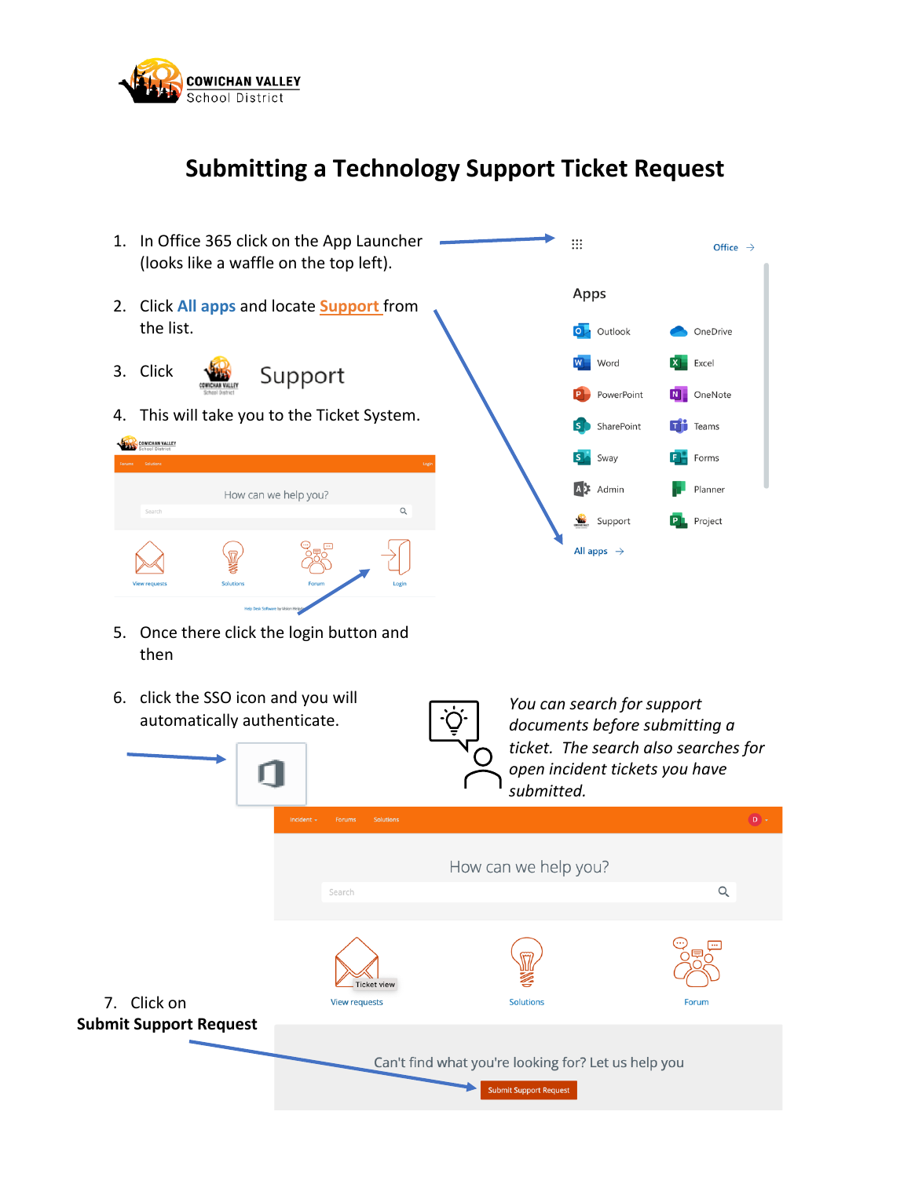

## **Submitting a Technology Support Ticket Request**